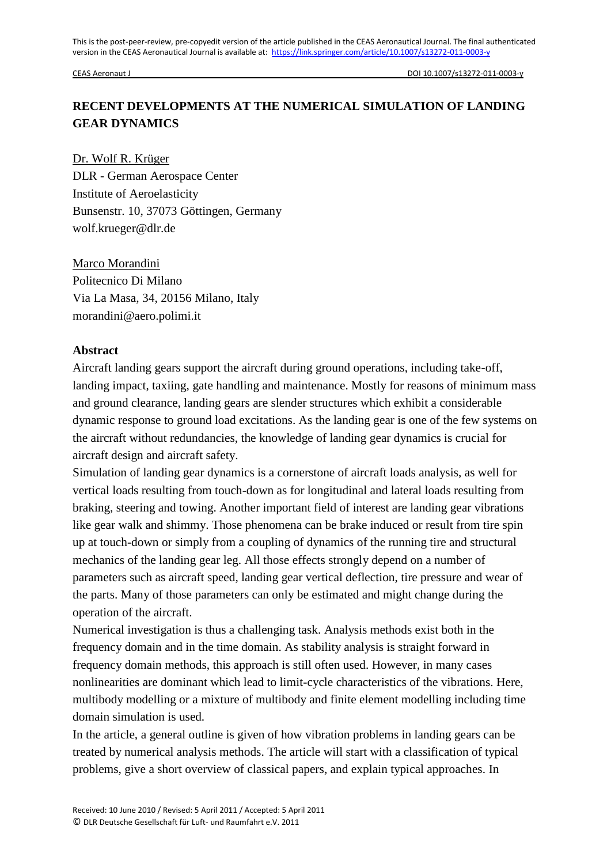# **RECENT DEVELOPMENTS AT THE NUMERICAL SIMULATION OF LANDING GEAR DYNAMICS**

Dr. Wolf R. Krüger DLR - German Aerospace Center Institute of Aeroelasticity Bunsenstr. 10, 37073 Göttingen, Germany wolf.krueger@dlr.de

Marco Morandini Politecnico Di Milano Via La Masa, 34, 20156 Milano, Italy morandini@aero.polimi.it

### **Abstract**

Aircraft landing gears support the aircraft during ground operations, including take-off, landing impact, taxiing, gate handling and maintenance. Mostly for reasons of minimum mass and ground clearance, landing gears are slender structures which exhibit a considerable dynamic response to ground load excitations. As the landing gear is one of the few systems on the aircraft without redundancies, the knowledge of landing gear dynamics is crucial for aircraft design and aircraft safety.

Simulation of landing gear dynamics is a cornerstone of aircraft loads analysis, as well for vertical loads resulting from touch-down as for longitudinal and lateral loads resulting from braking, steering and towing. Another important field of interest are landing gear vibrations like gear walk and shimmy. Those phenomena can be brake induced or result from tire spin up at touch-down or simply from a coupling of dynamics of the running tire and structural mechanics of the landing gear leg. All those effects strongly depend on a number of parameters such as aircraft speed, landing gear vertical deflection, tire pressure and wear of the parts. Many of those parameters can only be estimated and might change during the operation of the aircraft.

Numerical investigation is thus a challenging task. Analysis methods exist both in the frequency domain and in the time domain. As stability analysis is straight forward in frequency domain methods, this approach is still often used. However, in many cases nonlinearities are dominant which lead to limit-cycle characteristics of the vibrations. Here, multibody modelling or a mixture of multibody and finite element modelling including time domain simulation is used.

In the article, a general outline is given of how vibration problems in landing gears can be treated by numerical analysis methods. The article will start with a classification of typical problems, give a short overview of classical papers, and explain typical approaches. In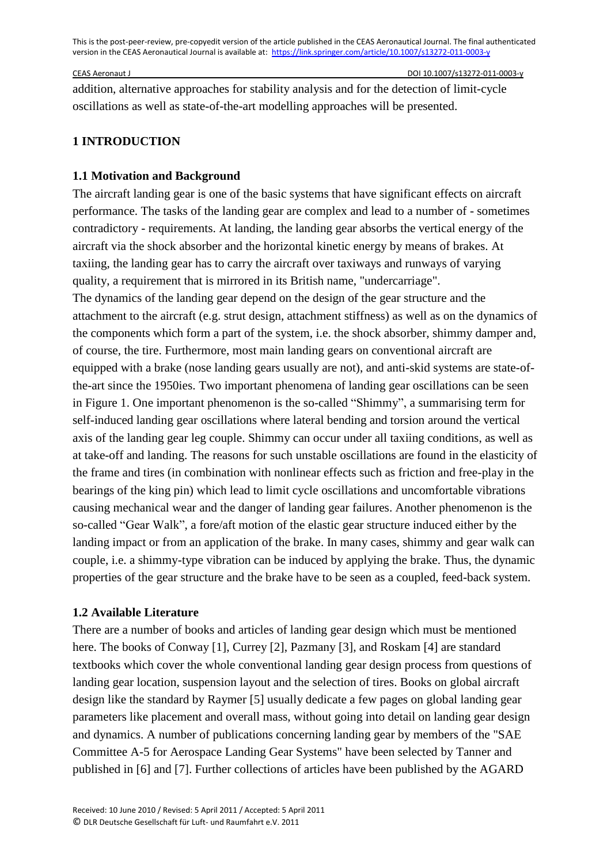addition, alternative approaches for stability analysis and for the detection of limit-cycle oscillations as well as state-of-the-art modelling approaches will be presented.

## **1 INTRODUCTION**

### **1.1 Motivation and Background**

The aircraft landing gear is one of the basic systems that have significant effects on aircraft performance. The tasks of the landing gear are complex and lead to a number of - sometimes contradictory - requirements. At landing, the landing gear absorbs the vertical energy of the aircraft via the shock absorber and the horizontal kinetic energy by means of brakes. At taxiing, the landing gear has to carry the aircraft over taxiways and runways of varying quality, a requirement that is mirrored in its British name, "undercarriage". The dynamics of the landing gear depend on the design of the gear structure and the attachment to the aircraft (e.g. strut design, attachment stiffness) as well as on the dynamics of the components which form a part of the system, i.e. the shock absorber, shimmy damper and, of course, the tire. Furthermore, most main landing gears on conventional aircraft are equipped with a brake (nose landing gears usually are not), and anti-skid systems are state-ofthe-art since the 1950ies. Two important phenomena of landing gear oscillations can be seen in Figure 1. One important phenomenon is the so-called "Shimmy", a summarising term for self-induced landing gear oscillations where lateral bending and torsion around the vertical axis of the landing gear leg couple. Shimmy can occur under all taxiing conditions, as well as at take-off and landing. The reasons for such unstable oscillations are found in the elasticity of the frame and tires (in combination with nonlinear effects such as friction and free-play in the bearings of the king pin) which lead to limit cycle oscillations and uncomfortable vibrations causing mechanical wear and the danger of landing gear failures. Another phenomenon is the so-called "Gear Walk", a fore/aft motion of the elastic gear structure induced either by the landing impact or from an application of the brake. In many cases, shimmy and gear walk can couple, i.e. a shimmy-type vibration can be induced by applying the brake. Thus, the dynamic properties of the gear structure and the brake have to be seen as a coupled, feed-back system.

## **1.2 Available Literature**

There are a number of books and articles of landing gear design which must be mentioned here. The books of Conway [\[1\],](#page-13-0) Currey [\[2\],](#page-13-1) Pazmany [\[3\],](#page-13-2) and Roskam [\[4\]](#page-13-3) are standard textbooks which cover the whole conventional landing gear design process from questions of landing gear location, suspension layout and the selection of tires. Books on global aircraft design like the standard by Raymer [\[5\]](#page-13-4) usually dedicate a few pages on global landing gear parameters like placement and overall mass, without going into detail on landing gear design and dynamics. A number of publications concerning landing gear by members of the "SAE Committee A-5 for Aerospace Landing Gear Systems" have been selected by Tanner and published in [\[6\]](#page-13-5) and [\[7\].](#page-13-6) Further collections of articles have been published by the AGARD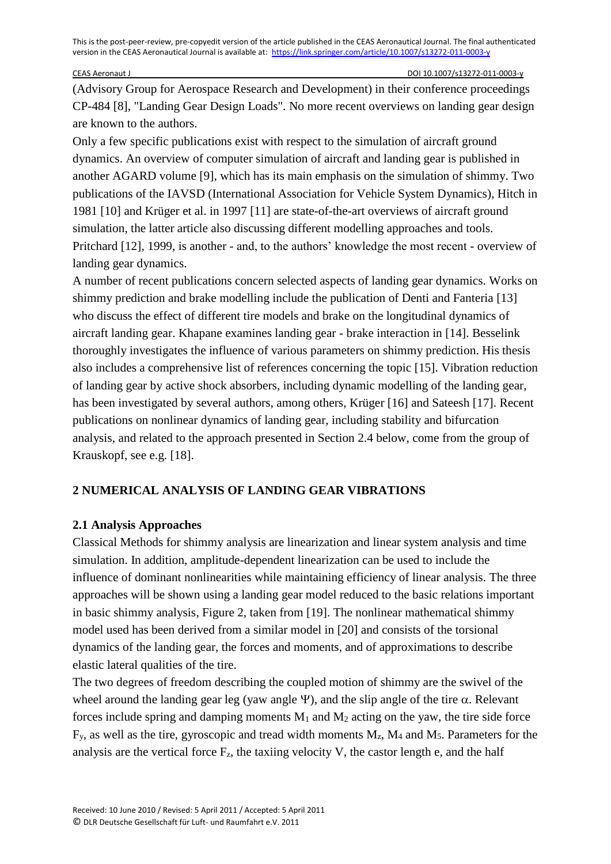(Advisory Group for Aerospace Research and Development) in their conference proceedings CP-484 [\[8\],](#page-13-7) "Landing Gear Design Loads". No more recent overviews on landing gear design are known to the authors.

Only a few specific publications exist with respect to the simulation of aircraft ground dynamics. An overview of computer simulation of aircraft and landing gear is published in another AGARD volume [\[9\],](#page-13-8) which has its main emphasis on the simulation of shimmy. Two publications of the IAVSD (International Association for Vehicle System Dynamics), Hitch in 1981 [\[10\]](#page-13-9) and Krüger et al. in 1997 [\[11\]](#page-13-10) are state-of-the-art overviews of aircraft ground simulation, the latter article also discussing different modelling approaches and tools. Pritchard [\[12\],](#page-13-11) 1999, is another - and, to the authors' knowledge the most recent - overview of landing gear dynamics.

A number of recent publications concern selected aspects of landing gear dynamics. Works on shimmy prediction and brake modelling include the publication of Denti and Fanteria [\[13\]](#page-13-12) who discuss the effect of different tire models and brake on the longitudinal dynamics of aircraft landing gear. Khapane examines landing gear - brake interaction in [\[14\].](#page-14-0) Besselink thoroughly investigates the influence of various parameters on shimmy prediction. His thesis also includes a comprehensive list of references concerning the topic [\[15\].](#page-14-1) Vibration reduction of landing gear by active shock absorbers, including dynamic modelling of the landing gear, has been investigated by several authors, among others, Krüger [\[16\]](#page-14-2) and Sateesh [\[17\].](#page-14-3) Recent publications on nonlinear dynamics of landing gear, including stability and bifurcation analysis, and related to the approach presented in Section 2.4 below, come from the group of Krauskopf, see e.g. [\[18\].](#page-14-4)

## **2 NUMERICAL ANALYSIS OF LANDING GEAR VIBRATIONS**

## **2.1 Analysis Approaches**

Classical Methods for shimmy analysis are linearization and linear system analysis and time simulation. In addition, amplitude-dependent linearization can be used to include the influence of dominant nonlinearities while maintaining efficiency of linear analysis. The three approaches will be shown using a landing gear model reduced to the basic relations important in basic shimmy analysis, Figure 2, taken from [\[19\].](#page-14-5) The nonlinear mathematical shimmy model used has been derived from a similar model in [\[20\]](#page-14-6) and consists of the torsional dynamics of the landing gear, the forces and moments, and of approximations to describe elastic lateral qualities of the tire.

The two degrees of freedom describing the coupled motion of shimmy are the swivel of the wheel around the landing gear leg (yaw angle  $\Psi$ ), and the slip angle of the tire  $\alpha$ . Relevant forces include spring and damping moments  $M_1$  and  $M_2$  acting on the yaw, the tire side force  $F_y$ , as well as the tire, gyroscopic and tread width moments  $M_z$ ,  $M_4$  and  $M_5$ . Parameters for the analysis are the vertical force  $F_z$ , the taxiing velocity V, the castor length e, and the half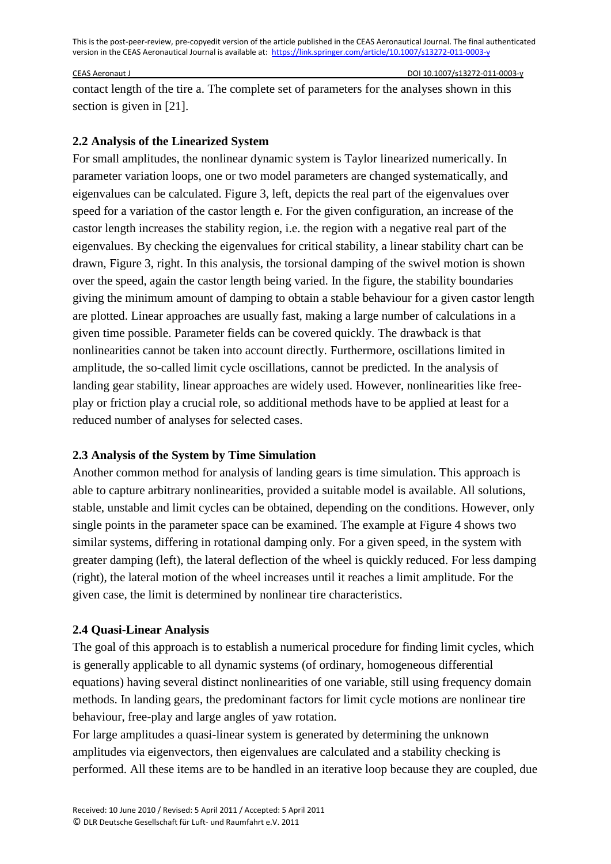CEAS Aeronaut J DOI 10.1007/s13272-011-0003-y

contact length of the tire a. The complete set of parameters for the analyses shown in this section is given in [\[21\].](#page-14-7)

### **2.2 Analysis of the Linearized System**

For small amplitudes, the nonlinear dynamic system is Taylor linearized numerically. In parameter variation loops, one or two model parameters are changed systematically, and eigenvalues can be calculated. Figure 3, left, depicts the real part of the eigenvalues over speed for a variation of the castor length e. For the given configuration, an increase of the castor length increases the stability region, i.e. the region with a negative real part of the eigenvalues. By checking the eigenvalues for critical stability, a linear stability chart can be drawn, Figure 3, right. In this analysis, the torsional damping of the swivel motion is shown over the speed, again the castor length being varied. In the figure, the stability boundaries giving the minimum amount of damping to obtain a stable behaviour for a given castor length are plotted. Linear approaches are usually fast, making a large number of calculations in a given time possible. Parameter fields can be covered quickly. The drawback is that nonlinearities cannot be taken into account directly. Furthermore, oscillations limited in amplitude, the so-called limit cycle oscillations, cannot be predicted. In the analysis of landing gear stability, linear approaches are widely used. However, nonlinearities like freeplay or friction play a crucial role, so additional methods have to be applied at least for a reduced number of analyses for selected cases.

## **2.3 Analysis of the System by Time Simulation**

Another common method for analysis of landing gears is time simulation. This approach is able to capture arbitrary nonlinearities, provided a suitable model is available. All solutions, stable, unstable and limit cycles can be obtained, depending on the conditions. However, only single points in the parameter space can be examined. The example at Figure 4 shows two similar systems, differing in rotational damping only. For a given speed, in the system with greater damping (left), the lateral deflection of the wheel is quickly reduced. For less damping (right), the lateral motion of the wheel increases until it reaches a limit amplitude. For the given case, the limit is determined by nonlinear tire characteristics.

## **2.4 Quasi-Linear Analysis**

The goal of this approach is to establish a numerical procedure for finding limit cycles, which is generally applicable to all dynamic systems (of ordinary, homogeneous differential equations) having several distinct nonlinearities of one variable, still using frequency domain methods. In landing gears, the predominant factors for limit cycle motions are nonlinear tire behaviour, free-play and large angles of yaw rotation.

For large amplitudes a quasi-linear system is generated by determining the unknown amplitudes via eigenvectors, then eigenvalues are calculated and a stability checking is performed. All these items are to be handled in an iterative loop because they are coupled, due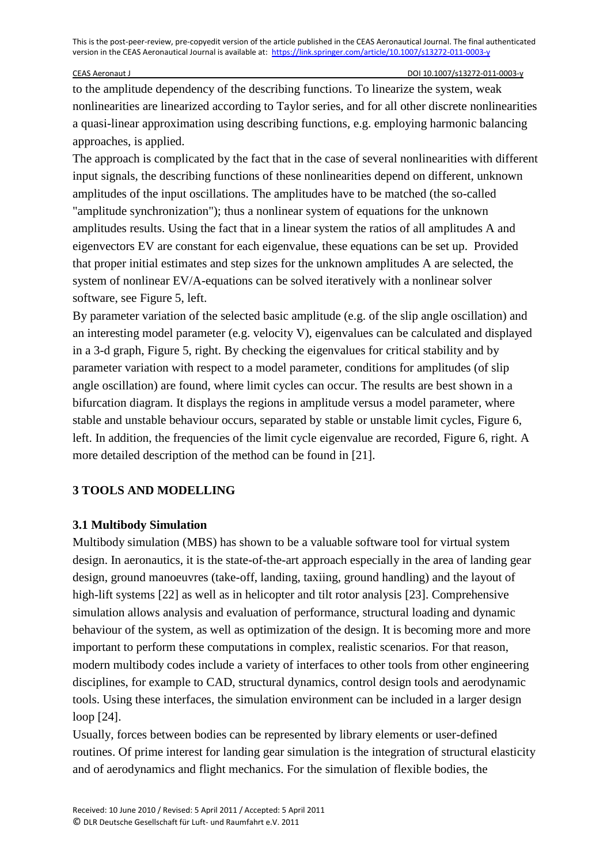### CEAS Aeronaut J DOI 10.1007/s13272-011-0003-y

to the amplitude dependency of the describing functions. To linearize the system, weak nonlinearities are linearized according to Taylor series, and for all other discrete nonlinearities a quasi-linear approximation using describing functions, e.g. employing harmonic balancing approaches, is applied.

The approach is complicated by the fact that in the case of several nonlinearities with different input signals, the describing functions of these nonlinearities depend on different, unknown amplitudes of the input oscillations. The amplitudes have to be matched (the so-called "amplitude synchronization"); thus a nonlinear system of equations for the unknown amplitudes results. Using the fact that in a linear system the ratios of all amplitudes A and eigenvectors EV are constant for each eigenvalue, these equations can be set up. Provided that proper initial estimates and step sizes for the unknown amplitudes A are selected, the system of nonlinear EV/A-equations can be solved iteratively with a nonlinear solver software, see Figure 5, left.

By parameter variation of the selected basic amplitude (e.g. of the slip angle oscillation) and an interesting model parameter (e.g. velocity V), eigenvalues can be calculated and displayed in a 3-d graph, Figure 5, right. By checking the eigenvalues for critical stability and by parameter variation with respect to a model parameter, conditions for amplitudes (of slip angle oscillation) are found, where limit cycles can occur. The results are best shown in a bifurcation diagram. It displays the regions in amplitude versus a model parameter, where stable and unstable behaviour occurs, separated by stable or unstable limit cycles, Figure 6, left. In addition, the frequencies of the limit cycle eigenvalue are recorded, Figure 6, right. A more detailed description of the method can be found in [\[21\].](#page-14-7)

## **3 TOOLS AND MODELLING**

### **3.1 Multibody Simulation**

Multibody simulation (MBS) has shown to be a valuable software tool for virtual system design. In aeronautics, it is the state-of-the-art approach especially in the area of landing gear design, ground manoeuvres (take-off, landing, taxiing, ground handling) and the layout of high-lift systems [\[22\]](#page-14-8) as well as in helicopter and tilt rotor analysis [\[23\].](#page-14-9) Comprehensive simulation allows analysis and evaluation of performance, structural loading and dynamic behaviour of the system, as well as optimization of the design. It is becoming more and more important to perform these computations in complex, realistic scenarios. For that reason, modern multibody codes include a variety of interfaces to other tools from other engineering disciplines, for example to CAD, structural dynamics, control design tools and aerodynamic tools. Using these interfaces, the simulation environment can be included in a larger design loop [\[24\].](#page-14-10)

Usually, forces between bodies can be represented by library elements or user-defined routines. Of prime interest for landing gear simulation is the integration of structural elasticity and of aerodynamics and flight mechanics. For the simulation of flexible bodies, the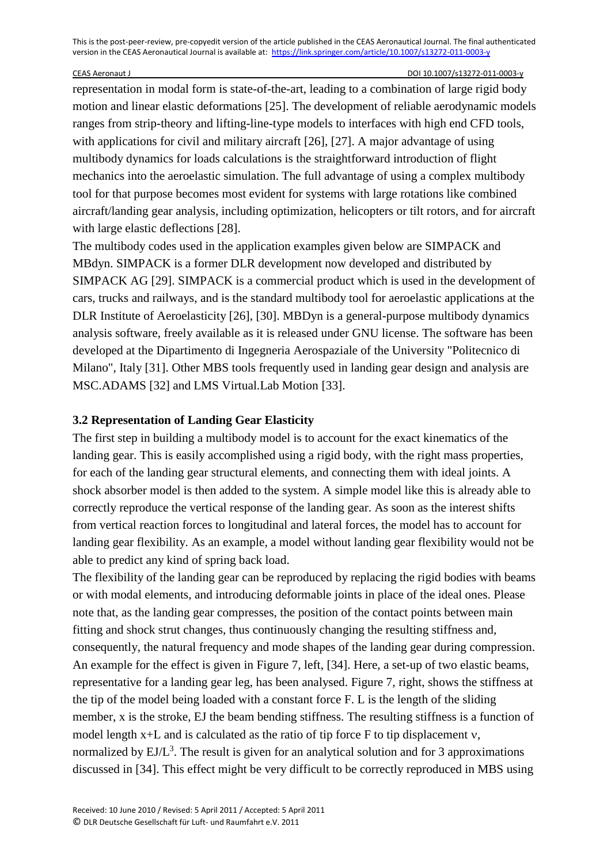CEAS Aeronaut J DOI 10.1007/s13272-011-0003-y

representation in modal form is state-of-the-art, leading to a combination of large rigid body motion and linear elastic deformations [\[25\].](#page-14-11) The development of reliable aerodynamic models ranges from strip-theory and lifting-line-type models to interfaces with high end CFD tools, with applications for civil and military aircraft [\[26\],](#page-14-12) [\[27\].](#page-14-13) A major advantage of using multibody dynamics for loads calculations is the straightforward introduction of flight mechanics into the aeroelastic simulation. The full advantage of using a complex multibody tool for that purpose becomes most evident for systems with large rotations like combined aircraft/landing gear analysis, including optimization, helicopters or tilt rotors, and for aircraft with large elastic deflections [\[28\].](#page-14-14)

The multibody codes used in the application examples given below are SIMPACK and MBdyn. SIMPACK is a former DLR development now developed and distributed by SIMPACK AG [\[29\].](#page-14-15) SIMPACK is a commercial product which is used in the development of cars, trucks and railways, and is the standard multibody tool for aeroelastic applications at the DLR Institute of Aeroelasticity [\[26\],](#page-14-12) [\[30\].](#page-14-16) MBDyn is a general-purpose multibody dynamics analysis software, freely available as it is released under GNU license. The software has been developed at the Dipartimento di Ingegneria Aerospaziale of the University "Politecnico di Milano", Italy [\[31\].](#page-14-17) Other MBS tools frequently used in landing gear design and analysis are MSC.ADAMS [\[32\]](#page-15-0) and LMS Virtual.Lab Motion [\[33\].](#page-15-1)

### **3.2 Representation of Landing Gear Elasticity**

The first step in building a multibody model is to account for the exact kinematics of the landing gear. This is easily accomplished using a rigid body, with the right mass properties, for each of the landing gear structural elements, and connecting them with ideal joints. A shock absorber model is then added to the system. A simple model like this is already able to correctly reproduce the vertical response of the landing gear. As soon as the interest shifts from vertical reaction forces to longitudinal and lateral forces, the model has to account for landing gear flexibility. As an example, a model without landing gear flexibility would not be able to predict any kind of spring back load.

The flexibility of the landing gear can be reproduced by replacing the rigid bodies with beams or with modal elements, and introducing deformable joints in place of the ideal ones. Please note that, as the landing gear compresses, the position of the contact points between main fitting and shock strut changes, thus continuously changing the resulting stiffness and, consequently, the natural frequency and mode shapes of the landing gear during compression. An example for the effect is given in Figure 7, left, [\[34\].](#page-15-2) Here, a set-up of two elastic beams, representative for a landing gear leg, has been analysed. Figure 7, right, shows the stiffness at the tip of the model being loaded with a constant force F. L is the length of the sliding member, x is the stroke, EJ the beam bending stiffness. The resulting stiffness is a function of model length  $x+L$  and is calculated as the ratio of tip force F to tip displacement  $v$ , normalized by  $EJ/L<sup>3</sup>$ . The result is given for an analytical solution and for 3 approximations discussed in [\[34\].](#page-15-2) This effect might be very difficult to be correctly reproduced in MBS using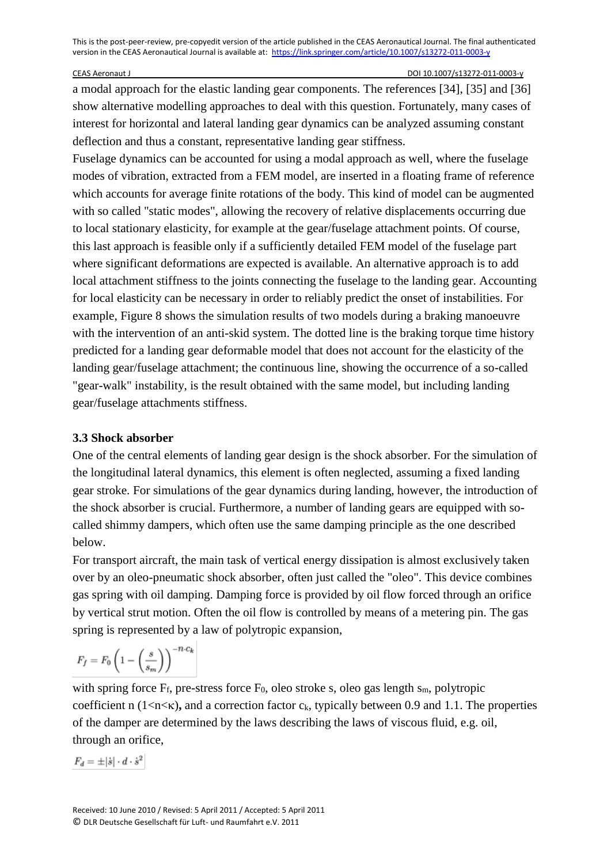CEAS Aeronaut J DOI 10.1007/s13272-011-0003-y

a modal approach for the elastic landing gear components. The references [\[34\],](#page-15-2) [\[35\]](#page-15-3) and [\[36\]](#page-15-4) show alternative modelling approaches to deal with this question. Fortunately, many cases of interest for horizontal and lateral landing gear dynamics can be analyzed assuming constant deflection and thus a constant, representative landing gear stiffness.

Fuselage dynamics can be accounted for using a modal approach as well, where the fuselage modes of vibration, extracted from a FEM model, are inserted in a floating frame of reference which accounts for average finite rotations of the body. This kind of model can be augmented with so called "static modes", allowing the recovery of relative displacements occurring due to local stationary elasticity, for example at the gear/fuselage attachment points. Of course, this last approach is feasible only if a sufficiently detailed FEM model of the fuselage part where significant deformations are expected is available. An alternative approach is to add local attachment stiffness to the joints connecting the fuselage to the landing gear. Accounting for local elasticity can be necessary in order to reliably predict the onset of instabilities. For example, Figure 8 shows the simulation results of two models during a braking manoeuvre with the intervention of an anti-skid system. The dotted line is the braking torque time history predicted for a landing gear deformable model that does not account for the elasticity of the landing gear/fuselage attachment; the continuous line, showing the occurrence of a so-called "gear-walk" instability, is the result obtained with the same model, but including landing gear/fuselage attachments stiffness.

### **3.3 Shock absorber**

One of the central elements of landing gear design is the shock absorber. For the simulation of the longitudinal lateral dynamics, this element is often neglected, assuming a fixed landing gear stroke. For simulations of the gear dynamics during landing, however, the introduction of the shock absorber is crucial. Furthermore, a number of landing gears are equipped with socalled shimmy dampers, which often use the same damping principle as the one described below.

For transport aircraft, the main task of vertical energy dissipation is almost exclusively taken over by an oleo-pneumatic shock absorber, often just called the "oleo". This device combines gas spring with oil damping. Damping force is provided by oil flow forced through an orifice by vertical strut motion. Often the oil flow is controlled by means of a metering pin. The gas spring is represented by a law of polytropic expansion,

$$
F_f=F_0\left(1-\left(\frac{s}{s_m}\right)\right)^{-n\cdot c}
$$

with spring force  $F_f$ , pre-stress force  $F_0$ , oleo stroke s, oleo gas length  $s_m$ , polytropic coefficient n ( $1 \le n \le \kappa$ ), and a correction factor  $c_k$ , typically between 0.9 and 1.1. The properties of the damper are determined by the laws describing the laws of viscous fluid, e.g. oil, through an orifice,

$$
F_d = \pm |\dot{s}| \cdot d \cdot \dot{s}^2
$$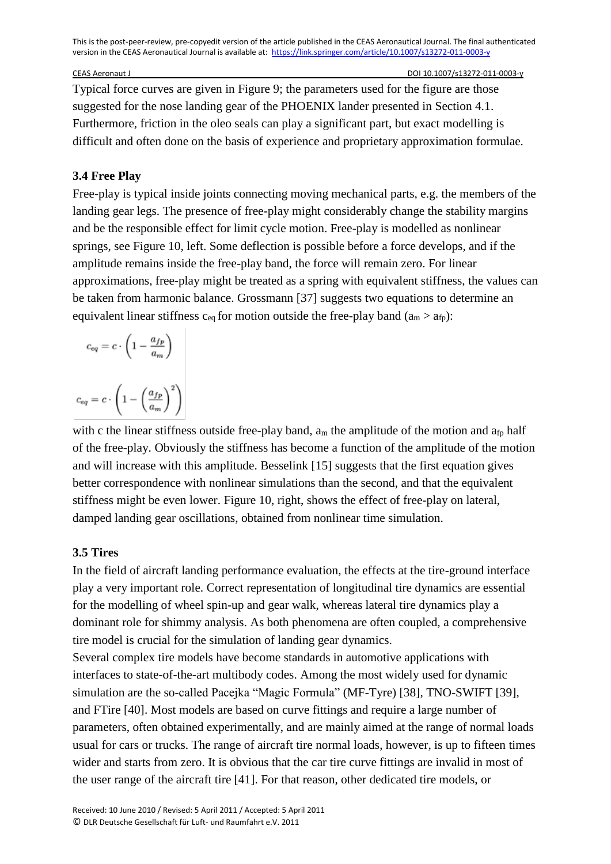Typical force curves are given in Figure 9; the parameters used for the figure are those suggested for the nose landing gear of the PHOENIX lander presented in Section 4.1. Furthermore, friction in the oleo seals can play a significant part, but exact modelling is difficult and often done on the basis of experience and proprietary approximation formulae.

### **3.4 Free Play**

Free-play is typical inside joints connecting moving mechanical parts, e.g. the members of the landing gear legs. The presence of free-play might considerably change the stability margins and be the responsible effect for limit cycle motion. Free-play is modelled as nonlinear springs, see Figure 10, left. Some deflection is possible before a force develops, and if the amplitude remains inside the free-play band, the force will remain zero. For linear approximations, free-play might be treated as a spring with equivalent stiffness, the values can be taken from harmonic balance. Grossmann [\[37\]](#page-15-5) suggests two equations to determine an equivalent linear stiffness  $c_{eq}$  for motion outside the free-play band  $(a_m > a_{fp})$ :

$$
c_{eq} = c \cdot \left(1 - \frac{a_{fp}}{a_m}\right)
$$

 $c_{eq} = c \cdot \left(1 - \left(\frac{a_{fp}}{a_m}\right)^2\right)$ 

with c the linear stiffness outside free-play band,  $a_m$  the amplitude of the motion and  $a_{fp}$  half of the free-play. Obviously the stiffness has become a function of the amplitude of the motion and will increase with this amplitude. Besselink [\[15\]](#page-14-1) suggests that the first equation gives better correspondence with nonlinear simulations than the second, and that the equivalent stiffness might be even lower. Figure 10, right, shows the effect of free-play on lateral, damped landing gear oscillations, obtained from nonlinear time simulation.

### **3.5 Tires**

In the field of aircraft landing performance evaluation, the effects at the tire-ground interface play a very important role. Correct representation of longitudinal tire dynamics are essential for the modelling of wheel spin-up and gear walk, whereas lateral tire dynamics play a dominant role for shimmy analysis. As both phenomena are often coupled, a comprehensive tire model is crucial for the simulation of landing gear dynamics.

Several complex tire models have become standards in automotive applications with interfaces to state-of-the-art multibody codes. Among the most widely used for dynamic simulation are the so-called Pacejka "Magic Formula" (MF-Tyre) [\[38\],](#page-15-6) TNO-SWIFT [\[39\],](#page-15-7) and FTire [\[40\].](#page-15-8) Most models are based on curve fittings and require a large number of parameters, often obtained experimentally, and are mainly aimed at the range of normal loads usual for cars or trucks. The range of aircraft tire normal loads, however, is up to fifteen times wider and starts from zero. It is obvious that the car tire curve fittings are invalid in most of the user range of the aircraft tire [\[41\].](#page-15-9) For that reason, other dedicated tire models, or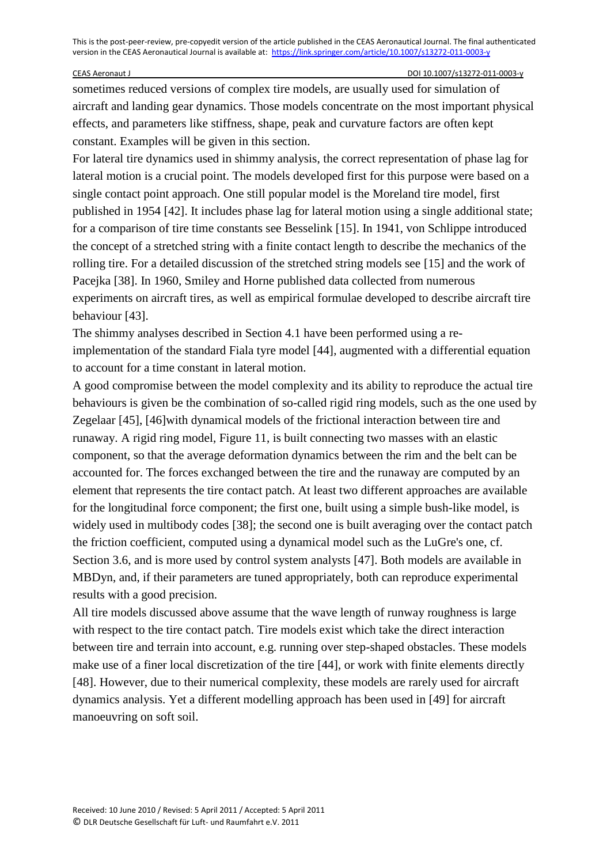### CEAS Aeronaut J DOI 10.1007/s13272-011-0003-y

sometimes reduced versions of complex tire models, are usually used for simulation of aircraft and landing gear dynamics. Those models concentrate on the most important physical effects, and parameters like stiffness, shape, peak and curvature factors are often kept constant. Examples will be given in this section.

For lateral tire dynamics used in shimmy analysis, the correct representation of phase lag for lateral motion is a crucial point. The models developed first for this purpose were based on a single contact point approach. One still popular model is the Moreland tire model, first published in 1954 [\[42\].](#page-15-10) It includes phase lag for lateral motion using a single additional state; for a comparison of tire time constants see Besselink [\[15\].](#page-14-1) In 1941, von Schlippe introduced the concept of a stretched string with a finite contact length to describe the mechanics of the rolling tire. For a detailed discussion of the stretched string models see [\[15\]](#page-14-1) and the work of Pacejka [\[38\].](#page-15-6) In 1960, Smiley and Horne published data collected from numerous experiments on aircraft tires, as well as empirical formulae developed to describe aircraft tire behaviour [\[43\].](#page-15-11)

The shimmy analyses described in Section 4.1 have been performed using a reimplementation of the standard Fiala tyre model [\[44\],](#page-15-12) augmented with a differential equation to account for a time constant in lateral motion.

A good compromise between the model complexity and its ability to reproduce the actual tire behaviours is given be the combination of so-called rigid ring models, such as the one used by Zegelaar [\[45\],](#page-15-13) [\[46\]w](#page-15-14)ith dynamical models of the frictional interaction between tire and runaway. A rigid ring model, Figure 11, is built connecting two masses with an elastic component, so that the average deformation dynamics between the rim and the belt can be accounted for. The forces exchanged between the tire and the runaway are computed by an element that represents the tire contact patch. At least two different approaches are available for the longitudinal force component; the first one, built using a simple bush-like model, is widely used in multibody codes [\[38\];](#page-15-6) the second one is built averaging over the contact patch the friction coefficient, computed using a dynamical model such as the LuGre's one, cf. Section 3.6, and is more used by control system analysts [\[47\].](#page-15-15) Both models are available in MBDyn, and, if their parameters are tuned appropriately, both can reproduce experimental results with a good precision.

All tire models discussed above assume that the wave length of runway roughness is large with respect to the tire contact patch. Tire models exist which take the direct interaction between tire and terrain into account, e.g. running over step-shaped obstacles. These models make use of a finer local discretization of the tire [\[44\],](#page-15-12) or work with finite elements directly [\[48\].](#page-15-16) However, due to their numerical complexity, these models are rarely used for aircraft dynamics analysis. Yet a different modelling approach has been used in [\[49\]](#page-15-17) for aircraft manoeuvring on soft soil.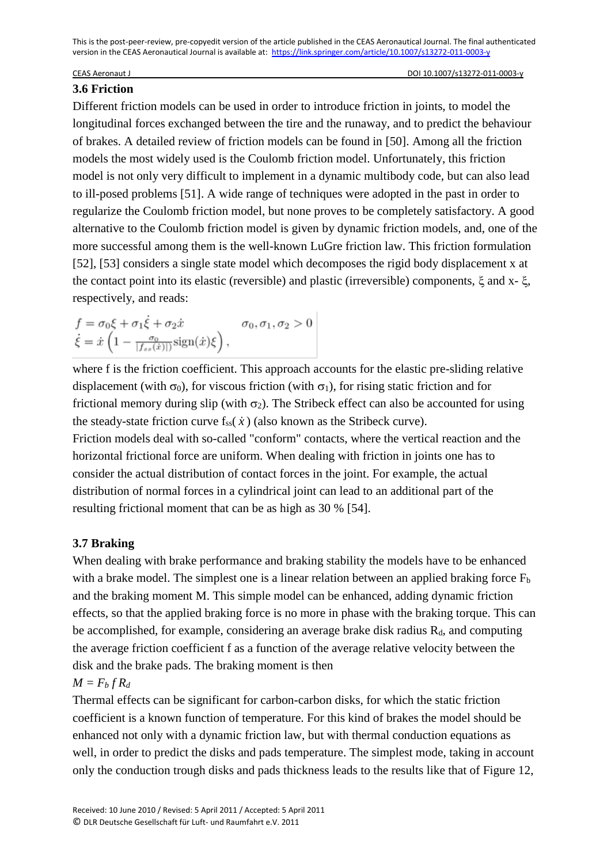### CEAS Aeronaut J DOI 10.1007/s13272-011-0003-y

### **3.6 Friction**

Different friction models can be used in order to introduce friction in joints, to model the longitudinal forces exchanged between the tire and the runaway, and to predict the behaviour of brakes. A detailed review of friction models can be found in [\[50\].](#page-16-0) Among all the friction models the most widely used is the Coulomb friction model. Unfortunately, this friction model is not only very difficult to implement in a dynamic multibody code, but can also lead to ill-posed problems [\[51\].](#page-16-1) A wide range of techniques were adopted in the past in order to regularize the Coulomb friction model, but none proves to be completely satisfactory. A good alternative to the Coulomb friction model is given by dynamic friction models, and, one of the more successful among them is the well-known LuGre friction law. This friction formulation [\[52\],](#page-16-2) [\[53\]](#page-16-3) considers a single state model which decomposes the rigid body displacement x at the contact point into its elastic (reversible) and plastic (irreversible) components,  $\xi$  and  $x-\xi$ , respectively, and reads:

$$
f = \sigma_0 \xi + \sigma_1 \dot{\xi} + \sigma_2 \dot{x} \qquad \sigma_0, \sigma_1, \sigma_2 > 0
$$
  

$$
\dot{\xi} = \dot{x} \left( 1 - \frac{\sigma_0}{|f_{ss}(\dot{x})|} \text{sign}(\dot{x}) \xi \right),
$$

where f is the friction coefficient. This approach accounts for the elastic pre-sliding relative displacement (with  $\sigma_0$ ), for viscous friction (with  $\sigma_1$ ), for rising static friction and for frictional memory during slip (with  $\sigma_2$ ). The Stribeck effect can also be accounted for using the steady-state friction curve  $f_{ss}(\dot{x})$  (also known as the Stribeck curve). Friction models deal with so-called "conform" contacts, where the vertical reaction and the horizontal frictional force are uniform. When dealing with friction in joints one has to consider the actual distribution of contact forces in the joint. For example, the actual distribution of normal forces in a cylindrical joint can lead to an additional part of the resulting frictional moment that can be as high as 30 % [\[54\].](#page-16-4)

## **3.7 Braking**

When dealing with brake performance and braking stability the models have to be enhanced with a brake model. The simplest one is a linear relation between an applied braking force  $F_b$ and the braking moment M. This simple model can be enhanced, adding dynamic friction effects, so that the applied braking force is no more in phase with the braking torque. This can be accomplished, for example, considering an average brake disk radius  $R_d$ , and computing the average friction coefficient f as a function of the average relative velocity between the disk and the brake pads. The braking moment is then

## $M = F_b f R_d$

Thermal effects can be significant for carbon-carbon disks, for which the static friction coefficient is a known function of temperature. For this kind of brakes the model should be enhanced not only with a dynamic friction law, but with thermal conduction equations as well, in order to predict the disks and pads temperature. The simplest mode, taking in account only the conduction trough disks and pads thickness leads to the results like that of Figure 12,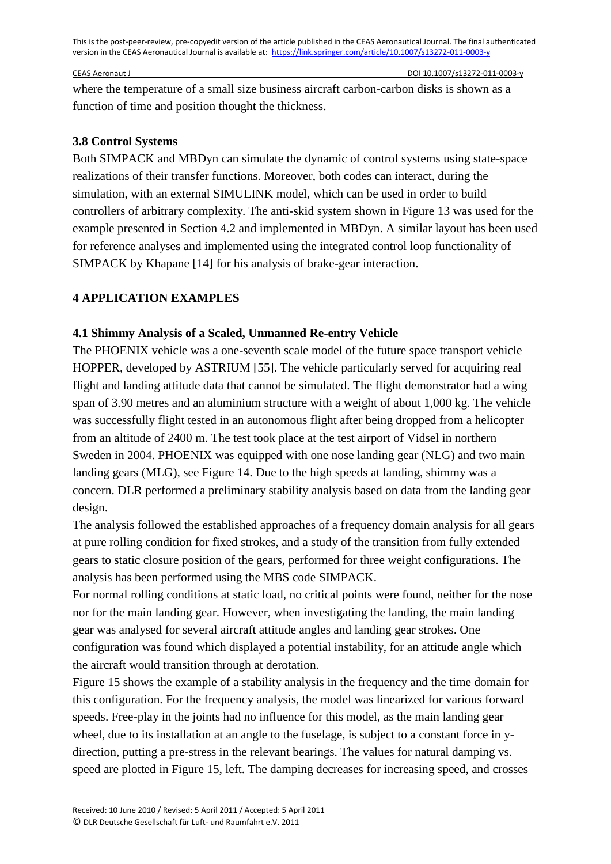where the temperature of a small size business aircraft carbon-carbon disks is shown as a function of time and position thought the thickness.

### **3.8 Control Systems**

Both SIMPACK and MBDyn can simulate the dynamic of control systems using state-space realizations of their transfer functions. Moreover, both codes can interact, during the simulation, with an external SIMULINK model, which can be used in order to build controllers of arbitrary complexity. The anti-skid system shown in Figure 13 was used for the example presented in Section 4.2 and implemented in MBDyn. A similar layout has been used for reference analyses and implemented using the integrated control loop functionality of SIMPACK by Khapane [\[14\]](#page-14-0) for his analysis of brake-gear interaction.

### **4 APPLICATION EXAMPLES**

## **4.1 Shimmy Analysis of a Scaled, Unmanned Re-entry Vehicle**

The PHOENIX vehicle was a one-seventh scale model of the future space transport vehicle HOPPER, developed by ASTRIUM [\[55\].](#page-16-5) The vehicle particularly served for acquiring real flight and landing attitude data that cannot be simulated. The flight demonstrator had a wing span of 3.90 metres and an aluminium structure with a weight of about 1,000 kg. The vehicle was successfully flight tested in an autonomous flight after being dropped from a helicopter from an altitude of 2400 m. The test took place at the test airport of Vidsel in northern Sweden in 2004. PHOENIX was equipped with one nose landing gear (NLG) and two main landing gears (MLG), see Figure 14. Due to the high speeds at landing, shimmy was a concern. DLR performed a preliminary stability analysis based on data from the landing gear design.

The analysis followed the established approaches of a frequency domain analysis for all gears at pure rolling condition for fixed strokes, and a study of the transition from fully extended gears to static closure position of the gears, performed for three weight configurations. The analysis has been performed using the MBS code SIMPACK.

For normal rolling conditions at static load, no critical points were found, neither for the nose nor for the main landing gear. However, when investigating the landing, the main landing gear was analysed for several aircraft attitude angles and landing gear strokes. One configuration was found which displayed a potential instability, for an attitude angle which the aircraft would transition through at derotation.

Figure 15 shows the example of a stability analysis in the frequency and the time domain for this configuration. For the frequency analysis, the model was linearized for various forward speeds. Free-play in the joints had no influence for this model, as the main landing gear wheel, due to its installation at an angle to the fuselage, is subject to a constant force in ydirection, putting a pre-stress in the relevant bearings. The values for natural damping vs. speed are plotted in Figure 15, left. The damping decreases for increasing speed, and crosses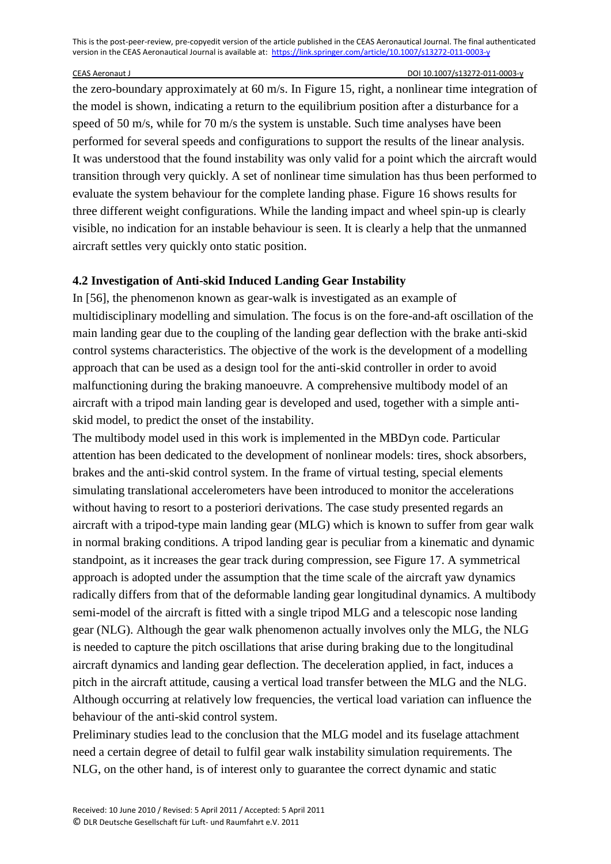### CEAS Aeronaut J DOI 10.1007/s13272-011-0003-y

the zero-boundary approximately at 60 m/s. In Figure 15, right, a nonlinear time integration of the model is shown, indicating a return to the equilibrium position after a disturbance for a speed of 50 m/s, while for 70 m/s the system is unstable. Such time analyses have been performed for several speeds and configurations to support the results of the linear analysis. It was understood that the found instability was only valid for a point which the aircraft would transition through very quickly. A set of nonlinear time simulation has thus been performed to evaluate the system behaviour for the complete landing phase. Figure 16 shows results for three different weight configurations. While the landing impact and wheel spin-up is clearly visible, no indication for an instable behaviour is seen. It is clearly a help that the unmanned aircraft settles very quickly onto static position.

### **4.2 Investigation of Anti-skid Induced Landing Gear Instability**

In [\[56\],](#page-16-6) the phenomenon known as gear-walk is investigated as an example of multidisciplinary modelling and simulation. The focus is on the fore-and-aft oscillation of the main landing gear due to the coupling of the landing gear deflection with the brake anti-skid control systems characteristics. The objective of the work is the development of a modelling approach that can be used as a design tool for the anti-skid controller in order to avoid malfunctioning during the braking manoeuvre. A comprehensive multibody model of an aircraft with a tripod main landing gear is developed and used, together with a simple antiskid model, to predict the onset of the instability.

The multibody model used in this work is implemented in the MBDyn code. Particular attention has been dedicated to the development of nonlinear models: tires, shock absorbers, brakes and the anti-skid control system. In the frame of virtual testing, special elements simulating translational accelerometers have been introduced to monitor the accelerations without having to resort to a posteriori derivations. The case study presented regards an aircraft with a tripod-type main landing gear (MLG) which is known to suffer from gear walk in normal braking conditions. A tripod landing gear is peculiar from a kinematic and dynamic standpoint, as it increases the gear track during compression, see Figure 17. A symmetrical approach is adopted under the assumption that the time scale of the aircraft yaw dynamics radically differs from that of the deformable landing gear longitudinal dynamics. A multibody semi-model of the aircraft is fitted with a single tripod MLG and a telescopic nose landing gear (NLG). Although the gear walk phenomenon actually involves only the MLG, the NLG is needed to capture the pitch oscillations that arise during braking due to the longitudinal aircraft dynamics and landing gear deflection. The deceleration applied, in fact, induces a pitch in the aircraft attitude, causing a vertical load transfer between the MLG and the NLG. Although occurring at relatively low frequencies, the vertical load variation can influence the behaviour of the anti-skid control system.

Preliminary studies lead to the conclusion that the MLG model and its fuselage attachment need a certain degree of detail to fulfil gear walk instability simulation requirements. The NLG, on the other hand, is of interest only to guarantee the correct dynamic and static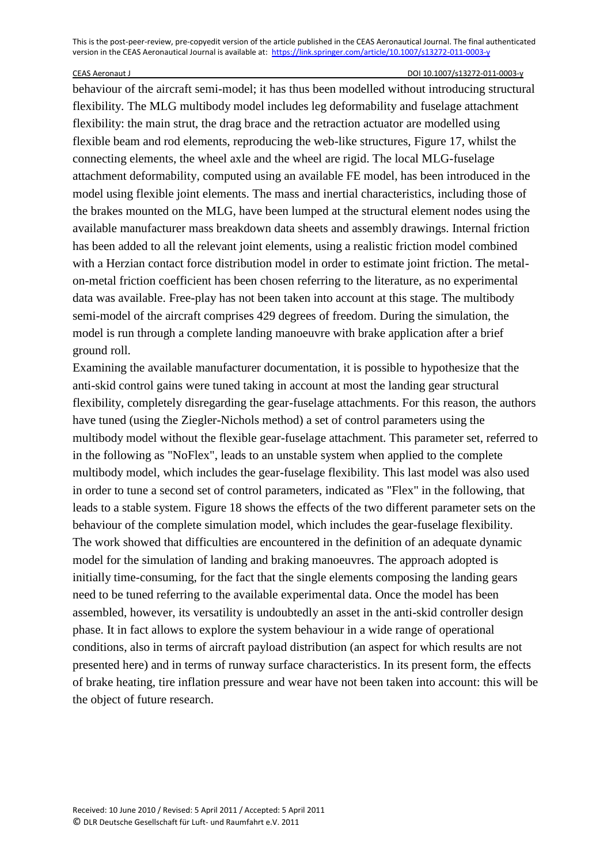### CEAS Aeronaut J DOI 10.1007/s13272-011-0003-y

behaviour of the aircraft semi-model; it has thus been modelled without introducing structural flexibility. The MLG multibody model includes leg deformability and fuselage attachment flexibility: the main strut, the drag brace and the retraction actuator are modelled using flexible beam and rod elements, reproducing the web-like structures, Figure 17, whilst the connecting elements, the wheel axle and the wheel are rigid. The local MLG-fuselage attachment deformability, computed using an available FE model, has been introduced in the model using flexible joint elements. The mass and inertial characteristics, including those of the brakes mounted on the MLG, have been lumped at the structural element nodes using the available manufacturer mass breakdown data sheets and assembly drawings. Internal friction has been added to all the relevant joint elements, using a realistic friction model combined with a Herzian contact force distribution model in order to estimate joint friction. The metalon-metal friction coefficient has been chosen referring to the literature, as no experimental data was available. Free-play has not been taken into account at this stage. The multibody semi-model of the aircraft comprises 429 degrees of freedom. During the simulation, the model is run through a complete landing manoeuvre with brake application after a brief ground roll.

Examining the available manufacturer documentation, it is possible to hypothesize that the anti-skid control gains were tuned taking in account at most the landing gear structural flexibility, completely disregarding the gear-fuselage attachments. For this reason, the authors have tuned (using the Ziegler-Nichols method) a set of control parameters using the multibody model without the flexible gear-fuselage attachment. This parameter set, referred to in the following as "NoFlex", leads to an unstable system when applied to the complete multibody model, which includes the gear-fuselage flexibility. This last model was also used in order to tune a second set of control parameters, indicated as "Flex" in the following, that leads to a stable system. Figure 18 shows the effects of the two different parameter sets on the behaviour of the complete simulation model, which includes the gear-fuselage flexibility. The work showed that difficulties are encountered in the definition of an adequate dynamic model for the simulation of landing and braking manoeuvres. The approach adopted is initially time-consuming, for the fact that the single elements composing the landing gears need to be tuned referring to the available experimental data. Once the model has been assembled, however, its versatility is undoubtedly an asset in the anti-skid controller design phase. It in fact allows to explore the system behaviour in a wide range of operational conditions, also in terms of aircraft payload distribution (an aspect for which results are not presented here) and in terms of runway surface characteristics. In its present form, the effects of brake heating, tire inflation pressure and wear have not been taken into account: this will be the object of future research.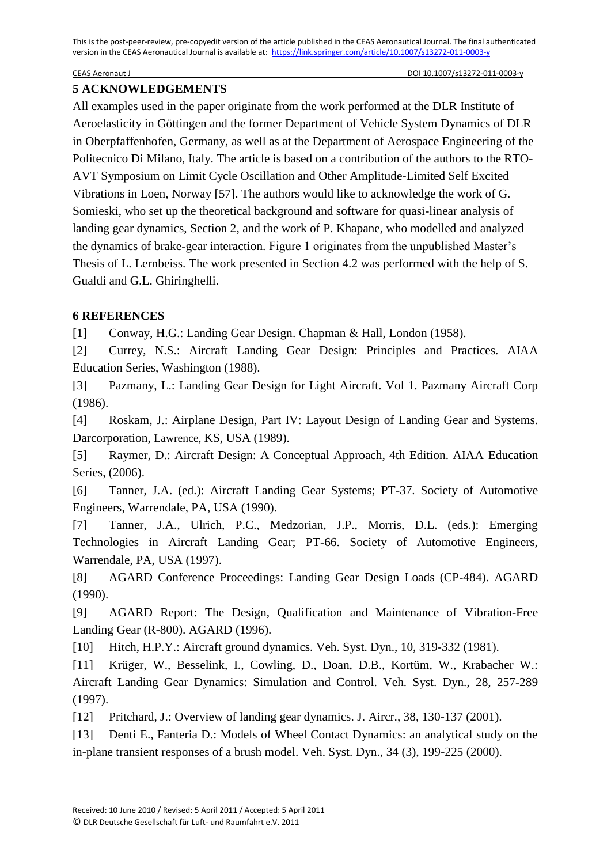### CEAS Aeronaut J DOI 10.1007/s13272-011-0003-y

### **5 ACKNOWLEDGEMENTS**

All examples used in the paper originate from the work performed at the DLR Institute of Aeroelasticity in Göttingen and the former Department of Vehicle System Dynamics of DLR in Oberpfaffenhofen, Germany, as well as at the Department of Aerospace Engineering of the Politecnico Di Milano, Italy. The article is based on a contribution of the authors to the RTO-AVT Symposium on Limit Cycle Oscillation and Other Amplitude-Limited Self Excited Vibrations in Loen, Norway [\[57\].](#page-16-7) The authors would like to acknowledge the work of G. Somieski, who set up the theoretical background and software for quasi-linear analysis of landing gear dynamics, Section 2, and the work of P. Khapane, who modelled and analyzed the dynamics of brake-gear interaction. Figure 1 originates from the unpublished Master's Thesis of L. Lernbeiss. The work presented in Section 4.2 was performed with the help of S. Gualdi and G.L. Ghiringhelli.

### **6 REFERENCES**

<span id="page-13-0"></span>[1] Conway, H.G.: Landing Gear Design. Chapman & Hall, London (1958).

<span id="page-13-1"></span>[2] Currey, N.S.: Aircraft Landing Gear Design: Principles and Practices. AIAA Education Series, Washington (1988).

<span id="page-13-2"></span>[3] Pazmany, L.: Landing Gear Design for Light Aircraft. Vol 1. Pazmany Aircraft Corp (1986).

<span id="page-13-3"></span>[4] Roskam, J.: Airplane Design, Part IV: Layout Design of Landing Gear and Systems. Darcorporation, Lawrence, KS, USA (1989).

<span id="page-13-4"></span>[5] Raymer, D.: Aircraft Design: A Conceptual Approach, 4th Edition. AIAA Education Series, (2006).

<span id="page-13-5"></span>[6] Tanner, J.A. (ed.): Aircraft Landing Gear Systems; PT-37. Society of Automotive Engineers, Warrendale, PA, USA (1990).

<span id="page-13-6"></span>[7] Tanner, J.A., Ulrich, P.C., Medzorian, J.P., Morris, D.L. (eds.): Emerging Technologies in Aircraft Landing Gear; PT-66. Society of Automotive Engineers, Warrendale, PA, USA (1997).

<span id="page-13-7"></span>[8] AGARD Conference Proceedings: Landing Gear Design Loads (CP-484). AGARD (1990).

<span id="page-13-8"></span>[9] AGARD Report: The Design, Qualification and Maintenance of Vibration-Free Landing Gear (R-800). AGARD (1996).

<span id="page-13-9"></span>[10] Hitch, H.P.Y.: Aircraft ground dynamics. Veh. Syst. Dyn., 10, 319-332 (1981).

<span id="page-13-10"></span>[11] Krüger, W., Besselink, I., Cowling, D., Doan, D.B., Kortüm, W., Krabacher W.: Aircraft Landing Gear Dynamics: Simulation and Control. Veh. Syst. Dyn., 28, 257-289 (1997).

<span id="page-13-11"></span>[12] Pritchard, J.: Overview of landing gear dynamics. J. Aircr., 38, 130-137 (2001).

<span id="page-13-12"></span>[13] Denti E., Fanteria D.: Models of Wheel Contact Dynamics: an analytical study on the in-plane transient responses of a brush model. Veh. Syst. Dyn., 34 (3), 199-225 (2000).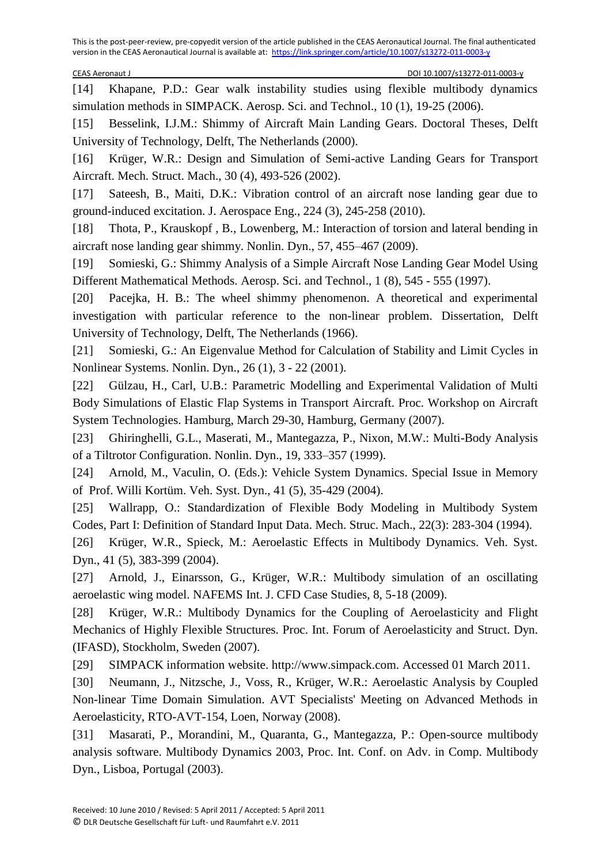CEAS Aeronaut J DOI 10.1007/s13272-011-0003-y

<span id="page-14-0"></span>[14] Khapane, P.D.: Gear walk instability studies using flexible multibody dynamics simulation methods in SIMPACK. Aerosp. Sci. and Technol., 10 (1), 19-25 (2006).

<span id="page-14-1"></span>[15] Besselink, I.J.M.: Shimmy of Aircraft Main Landing Gears. Doctoral Theses, Delft University of Technology, Delft, The Netherlands (2000).

<span id="page-14-2"></span>[16] Krüger, W.R.: Design and Simulation of Semi-active Landing Gears for Transport Aircraft. Mech. Struct. Mach., 30 (4), 493-526 (2002).

<span id="page-14-3"></span>[17] Sateesh, B., Maiti, D.K.: Vibration control of an aircraft nose landing gear due to ground-induced excitation. J. Aerospace Eng., 224 (3), 245-258 (2010).

<span id="page-14-4"></span>[18] Thota, P., Krauskopf, B., Lowenberg, M.: Interaction of torsion and lateral bending in aircraft nose landing gear shimmy. Nonlin. Dyn., 57, 455–467 (2009).

<span id="page-14-5"></span>[19] Somieski, G.: Shimmy Analysis of a Simple Aircraft Nose Landing Gear Model Using Different Mathematical Methods. Aerosp. Sci. and Technol., 1 (8), 545 - 555 (1997).

<span id="page-14-6"></span>[20] Pacejka, H. B.: The wheel shimmy phenomenon. A theoretical and experimental investigation with particular reference to the non-linear problem. Dissertation, Delft University of Technology, Delft, The Netherlands (1966).

<span id="page-14-7"></span>[21] Somieski, G.: An Eigenvalue Method for Calculation of Stability and Limit Cycles in Nonlinear Systems. Nonlin. Dyn., 26 (1), 3 - 22 (2001).

<span id="page-14-8"></span>[22] Gülzau, H., Carl, U.B.: Parametric Modelling and Experimental Validation of Multi Body Simulations of Elastic Flap Systems in Transport Aircraft. Proc. Workshop on Aircraft System Technologies. Hamburg, March 29-30, Hamburg, Germany (2007).

<span id="page-14-9"></span>[23] Ghiringhelli, G.L., Maserati, M., Mantegazza, P., Nixon, M.W.: Multi-Body Analysis of a Tiltrotor Configuration. Nonlin. Dyn., 19, 333–357 (1999).

<span id="page-14-10"></span>[24] Arnold, M., Vaculin, O. (Eds.): Vehicle System Dynamics. Special Issue in Memory of Prof. Willi Kortüm. Veh. Syst. Dyn., 41 (5), 35-429 (2004).

<span id="page-14-11"></span>[25] Wallrapp, O.: Standardization of Flexible Body Modeling in Multibody System Codes, Part I: Definition of Standard Input Data. Mech. Struc. Mach., 22(3): 283-304 (1994).

<span id="page-14-12"></span>[26] Krüger, W.R., Spieck, M.: Aeroelastic Effects in Multibody Dynamics. Veh. Syst. Dyn., 41 (5), 383-399 (2004).

<span id="page-14-13"></span>[27] Arnold, J., Einarsson, G., Krüger, W.R.: Multibody simulation of an oscillating aeroelastic wing model. NAFEMS Int. J. CFD Case Studies, 8, 5-18 (2009).

<span id="page-14-14"></span>[28] Krüger, W.R.: Multibody Dynamics for the Coupling of Aeroelasticity and Flight Mechanics of Highly Flexible Structures. Proc. Int. Forum of Aeroelasticity and Struct. Dyn. (IFASD), Stockholm, Sweden (2007).

<span id="page-14-15"></span>[29] SIMPACK information website. http://www.simpack.com. Accessed 01 March 2011.

<span id="page-14-16"></span>[30] Neumann, J., Nitzsche, J., Voss, R., Krüger, W.R.: Aeroelastic Analysis by Coupled Non-linear Time Domain Simulation. AVT Specialists' Meeting on Advanced Methods in Aeroelasticity, RTO-AVT-154, Loen, Norway (2008).

<span id="page-14-17"></span>[31] Masarati, P., Morandini, M., Quaranta, G., Mantegazza, P.: Open-source multibody analysis software. Multibody Dynamics 2003, Proc. Int. Conf. on Adv. in Comp. Multibody Dyn., Lisboa, Portugal (2003).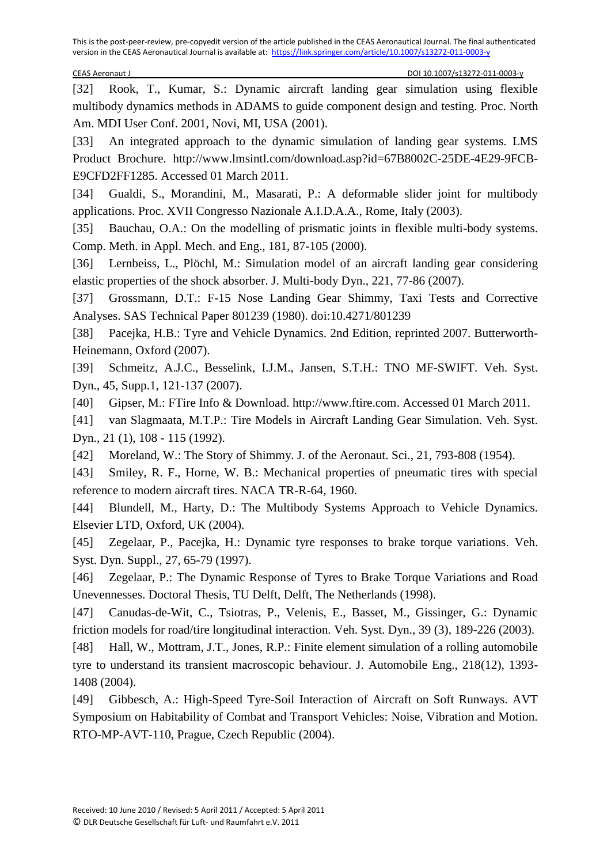|--|

<span id="page-15-0"></span>[32] Rook, T., Kumar, S.: Dynamic aircraft landing gear simulation using flexible multibody dynamics methods in ADAMS to guide component design and testing. Proc. North Am. MDI User Conf. 2001, Novi, MI, USA (2001).

<span id="page-15-1"></span>[33] An integrated approach to the dynamic simulation of landing gear systems. LMS Product Brochure. http://www.lmsintl.com/download.asp?id=67B8002C-25DE-4E29-9FCB-E9CFD2FF1285. Accessed 01 March 2011.

<span id="page-15-2"></span>[34] Gualdi, S., Morandini, M., Masarati, P.: A deformable slider joint for multibody applications. Proc. XVII Congresso Nazionale A.I.D.A.A., Rome, Italy (2003).

<span id="page-15-3"></span>[35] Bauchau, O.A.: On the modelling of prismatic joints in flexible multi-body systems. Comp. Meth. in Appl. Mech. and Eng., 181, 87-105 (2000).

<span id="page-15-4"></span>[36] Lernbeiss, L., Plöchl, M.: Simulation model of an aircraft landing gear considering elastic properties of the shock absorber. J. Multi-body Dyn., 221, 77-86 (2007).

<span id="page-15-5"></span>[37] Grossmann, D.T.: F-15 Nose Landing Gear Shimmy, Taxi Tests and Corrective Analyses. SAS Technical Paper 801239 (1980). doi:10.4271/801239

<span id="page-15-6"></span>[38] Pacejka, H.B.: Tyre and Vehicle Dynamics. 2nd Edition, reprinted 2007. Butterworth-Heinemann, Oxford (2007).

<span id="page-15-7"></span>[39] Schmeitz, A.J.C., Besselink, I.J.M., Jansen, S.T.H.: TNO MF-SWIFT. Veh. Syst. Dyn., 45, Supp.1, 121-137 (2007).

<span id="page-15-8"></span>[40] Gipser, M.: FTire Info & Download. http://www.ftire.com. Accessed 01 March 2011.

<span id="page-15-9"></span>[41] van Slagmaata, M.T.P.: Tire Models in Aircraft Landing Gear Simulation. Veh. Syst. Dyn., 21 (1), 108 - 115 (1992).

<span id="page-15-10"></span>[42] Moreland, W.: The Story of Shimmy. J. of the Aeronaut. Sci., 21, 793-808 (1954).

<span id="page-15-11"></span>[43] Smiley, R. F., Horne, W. B.: Mechanical properties of pneumatic tires with special reference to modern aircraft tires. NACA TR-R-64, 1960.

<span id="page-15-12"></span>[44] Blundell, M., Harty, D.: The Multibody Systems Approach to Vehicle Dynamics. Elsevier LTD, Oxford, UK (2004).

<span id="page-15-13"></span>[45] Zegelaar, P., Pacejka, H.: Dynamic tyre responses to brake torque variations. Veh. Syst. Dyn. Suppl., 27, 65-79 (1997).

<span id="page-15-14"></span>[46] Zegelaar, P.: The Dynamic Response of Tyres to Brake Torque Variations and Road Unevennesses. Doctoral Thesis, TU Delft, Delft, The Netherlands (1998).

<span id="page-15-15"></span>[47] Canudas-de-Wit, C., Tsiotras, P., Velenis, E., Basset, M., Gissinger, G.: Dynamic friction models for road/tire longitudinal interaction. Veh. Syst. Dyn., 39 (3), 189-226 (2003).

<span id="page-15-16"></span>[48] Hall, W., Mottram, J.T., Jones, R.P.: Finite element simulation of a rolling automobile tyre to understand its transient macroscopic behaviour. J. Automobile Eng., 218(12), 1393- 1408 (2004).

<span id="page-15-17"></span>[49] Gibbesch, A.: High-Speed Tyre-Soil Interaction of Aircraft on Soft Runways. AVT Symposium on Habitability of Combat and Transport Vehicles: Noise, Vibration and Motion. RTO-MP-AVT-110, Prague, Czech Republic (2004).